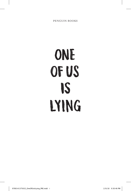PENGUIN BOOKS

## ONE OF US IS LYING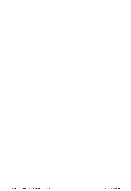J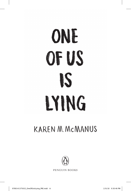# ONE OF US IS LYING

### **KAREN M. MCMANUS**



PENGUIN BOOKS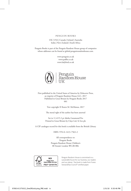#### PENGUIN BOOKS

#### UK | USA | Canada | Ireland | Australia India | New Zealand | South Africa

Penguin Books is part of the Penguin Random House group of companies whose addresses can be found at global.penguinrandomhouse.com.

> www.penguin.co.uk www.puffin.co.uk www.ladybird.co.uk



First published in the United States of America by Delacorte Press, an imprint of Penguin Random House LLC, 2017 Published in Great Britain by Penguin Books 2017 001

Text copyright © Karen M. McManus, 2017

The moral right of the author has been asserted

Set in 11.4/15.2 pt Adobe Garamond Pro Printed in Great Britain by Clays Ltd, St Ives plc

A CIP catalogue record for this book is available from the British Library

ISBN: 978–0–1413–7563–2

All correspondence to: Penguin Books Penguin Random House Children's 80 Strand, London WC2R 0RL



Penguin Random House is committed to a sustainable future for our business, our readers and our planet. This book is made from Forest Stewardship Council® certified paper.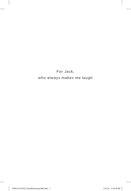For Jack, who always makes me laugh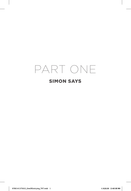### PART ONE

### SIMON SAYS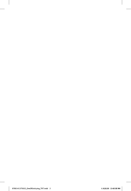I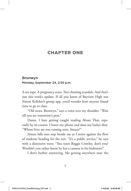### CHAPTER ONE

### Bronwyn

Monday, September 24, 2:55 p.m.

A sex tape. A pregnancy scare. Two cheating scandals. And that's just this week's update. If all you knew of Bayview High was Simon Kelleher's gossip app, you'd wonder how anyone found time to go to class.

"Old news, Bronwyn," says a voice over my shoulder. "Wait till you see tomorrow's post."

Damn. I hate getting caught reading About That, especially by its creator. I lower my phone and slam my locker shut. "Whose lives are you ruining next, Simon?"

Simon falls into step beside me as I move against the flow of students heading for the exit. "It's a public service," he says with a dismissive wave. "You tutor Reggie Crawley, don't you? Wouldn't you rather know he has a camera in his bedroom?"

I don't bother answering. Me getting anywhere near the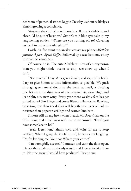bedroom of perpetual stoner Reggie Crawley is about as likely as Simon growing a conscience.

"Anyway, they bring it on themselves. If people didn't lie and cheat, I'd be out of business." Simon's cold blue eyes take in my lengthening strides. "Where are you rushing off to? Covering yourself in extracurricular glory?"

I wish. As if to taunt me, an alert crosses my phone: *Mathlete practice, 3 p.m., Epoch Coffee.* Followed by a text from one of my teammates: *Evan's here.*

Of course he is. The cute Mathlete— less of an oxymoron than you might think— seems to only ever show up when I can't.

"Not exactly," I say. As a general rule, and especially lately, I try to give Simon as little information as possible. We push through green metal doors to the back stairwell, a dividing line between the dinginess of the original Bayview High and its bright, airy new wing. Every year more wealthy families get priced out of San Diego and come fifteen miles east to Bayview, expecting that their tax dollars will buy them a nicer school experience than popcorn ceilings and scarred linoleum.

Simon's still on my heels when I reach Mr. Avery's lab on the third floor, and I half turn with my arms crossed. "Don't you have someplace to be?"

"Yeah. Detention," Simon says, and waits for me to keep walking. When I grasp the knob instead, he bursts out laughing. "You're kidding me. You too? What's your crime?"

"I'm wrongfully accused," I mutter, and yank the door open. Three other students are already seated, and I pause to take them in. Not the group I would have predicted. Except one.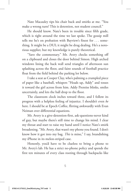Nate Macauley tips his chair back and smirks at me. "You make a wrong turn? This is detention, not student council."

He should know. Nate's been in trouble since fifth grade, which is right around the time we last spoke. The gossip mill tells me he's on probation with Bayview's finest for . . . something. It might be a DUI; it might be drug dealing. He's a notorious supplier, but my knowledge is purely theoretical.

"Save the commentary." Mr. Avery checks something off on a clipboard and closes the door behind Simon. High arched windows lining the back wall send triangles of afternoon sun splashing across the floor, and faint sounds of football practice float from the field behind the parking lot below.

I take a seat as Cooper Clay, who's palming a crumpled piece of paper like a baseball, whispers "Heads up, Addy" and tosses it toward the girl across from him. Addy Prentiss blinks, smiles uncertainly, and lets the ball drop to the floor.

The classroom clock inches toward three, and I follow its progress with a helpless feeling of injustice. I shouldn't even *be* here. I should be at Epoch Coffee, flirting awkwardly with Evan Neiman over differential equations.

Mr. Avery is a give-detention-first, ask-questions-never kind of guy, but maybe there's still time to change his mind. I clear my throat and start to raise my hand until I notice Nate's smirk broadening. "Mr. Avery, that wasn't my phone you found. I don't know how it got into my bag. *This* is mine," I say, brandishing my iPhone in its melon-striped case.

Honestly, you'd have to be clueless to bring a phone to Mr. Avery's lab. He has a strict no- phone policy and spends the first ten minutes of every class rooting through backpacks like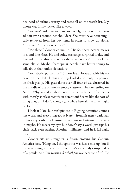he's head of airline security and we're all on the watch list. My phone was in my locker, like always.

"You too?" Addy turns to me so quickly, her blond shampoo ad hair swirls around her shoulders. She must have been surgically removed from her boyfriend in order to show up alone. "That wasn't my phone either."

"Me three," Cooper chimes in. His Southern accent makes it sound like *thray.* He and Addy exchange surprised looks, and I wonder how this is news to them when they're part of the same clique. Maybe überpopular people have better things to talk about than unfair detentions.

"Somebody punked us!" Simon leans forward with his elbows on the desk, looking spring-loaded and ready to pounce on fresh gossip. His gaze darts over all four of us, clustered in the middle of the otherwise empty classroom, before settling on Nate. "Why would anybody want to trap a bunch of students with mostly spotless records in detention? Seems like the sort of thing that, oh, I don't know, a guy who's here all the time might do for fun."

I look at Nate, but can't picture it. Rigging detention sounds like work, and everything about Nate— from his messy dark hair to his ratty leather jacket— screams *Can't be bothered.* Or yawns it, maybe. He meets my eyes but doesn't say a word, just tips his chair back even farther. Another millimeter and he'll fall right over.

Cooper sits up straighter, a frown crossing his Captain America face. "Hang on. I thought this was just a mix-up, but if the same thing happened to all of us, it's somebody's stupid idea of a prank. And I'm missing *baseball practice* because of it." He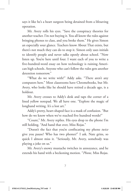says it like he's a heart surgeon being detained from a lifesaving operation.

Mr. Avery rolls his eyes. "Save the conspiracy theories for another teacher. I'm not buying it. You all know the rules against bringing phones to class, and you broke them." He gives Simon an especially sour glance. Teachers know About That exists, but there's not much they can do to stop it. Simon only uses initials to identify people and never talks openly about school. "Now listen up. You're here until four. I want each of you to write a five- hundred- word essay on how technology is ruining American high schools. Anyone who can't follow the rules gets another detention tomorrow."

"What do we write with?" Addy asks. "There aren't any computers here." Most classrooms have Chromebooks, but Mr. Avery, who looks like he should have retired a decade ago, is a holdout.

Mr. Avery crosses to Addy's desk and taps the corner of a lined yellow notepad. We all have one. "Explore the magic of longhand writing. It's a lost art."

Addy's pretty, heart- shaped face is a mask of confusion. "But how do we know when we've reached five hundred words?"

"Count," Mr. Avery replies. His eyes drop to the phone I'm still holding. "And hand that over, Miss Rojas."

"Doesn't the fact that you're confiscating my phone *twice* give you pause? Who has two phones?" I ask. Nate grins, so quick I almost miss it. "Seriously, Mr. Avery, somebody was playing a joke on us."

Mr. Avery's snowy mustache twitches in annoyance, and he extends his hand with a beckoning motion. "*Phone,* Miss Rojas.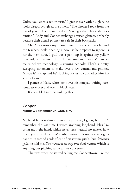Unless you want a return visit." I give it over with a sigh as he looks disapprovingly at the others. "The phones I took from the rest of you earlier are in my desk. You'll get them back after detention." Addy and Cooper exchange amused glances, probably because their actual phones are safe in their backpacks.

Mr. Avery tosses my phone into a drawer and sits behind the teacher's desk, opening a book as he prepares to ignore us for the next hour. I pull out a pen, tap it against my yellow notepad, and contemplate the assignment. Does Mr. Avery really believe technology is ruining schools? That's a pretty sweeping statement to make over a few contraband phones. Maybe it's a trap and he's looking for us to contradict him instead of agree.

I glance at Nate, who's bent over his notepad writing *computers suck* over and over in block letters.

It's possible I'm overthinking this.

### Cooper Monday, September 24, 3:05 p.m.

My hand hurts within minutes. It's pathetic, I guess, but I can't remember the last time I wrote anything longhand. Plus I'm using my right hand, which never feels natural no matter how many years I've done it. My father insisted I learn to write righthanded in second grade after he first saw me pitch. *Your left arm's gold,* he told me. *Don't waste it on crap that don't matter.* Which is anything but pitching as far as he's concerned.

That was when he started calling me Cooperstown, like the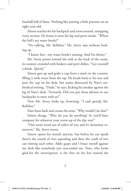baseball hall of fame. Nothing like putting a little pressure on an eight-year-old.

Simon reaches for his backpack and roots around, unzipping every section. He hoists it onto his lap and peers inside. "Where the hell's my water bottle?"

"No talking, Mr. Kelleher," Mr. Avery says without looking up.

"I know, but— my water bottle's missing. And I'm thirsty."

Mr. Avery points toward the sink at the back of the room, its counter crowded with beakers and petri dishes. "Get yourself a drink. *Quietly.*"

Simon gets up and grabs a cup from a stack on the counter, filling it with water from the tap. He heads back to his seat and puts the cup on his desk, but seems distracted by Nate's methodical writing. "Dude," he says, kicking his sneaker against the leg of Nate's desk. "Seriously. Did you put those phones in our backpacks to mess with us?"

Now Mr. Avery looks up, frowning. "I said *quietly,* Mr. Kelleher."

Nate leans back and crosses his arms. "Why would I do that?"

Simon shrugs. "Why do you do anything? So you'll have company for whatever your screw-up of the day was?"

"One more word out of either of you and it's detention tomorrow," Mr. Avery warns.

Simon opens his mouth anyway, but before he can speak there's the sound of tires squealing and then the crash of two cars hitting each other. Addy gasps and I brace myself against my desk like somebody just rear-ended me. Nate, who looks glad for the interruption, is the first on his feet toward the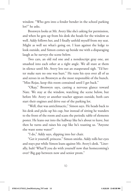window. "Who gets into a fender bender in the school parking lot?" he asks.

Bronwyn looks at Mr. Avery like she's asking for permission, and when he gets up from his desk she heads for the window as well. Addy follows her, and I finally unfold myself from my seat. Might as well see what's going on. I lean against the ledge to look outside, and Simon comes up beside me with a disparaging laugh as he surveys the scene below.

Two cars, an old red one and a nondescript gray one, are smashed into each other at a right angle. We all stare at them in silence until Mr. Avery lets out an exasperated sigh. "I'd better make sure no one was hurt." He runs his eyes over all of us and zeroes in on Bronwyn as the most responsible of the bunch. "Miss Rojas, keep this room contained until I get back."

"Okay," Bronwyn says, casting a nervous glance toward Nate. We stay at the window, watching the scene below, but before Mr. Avery or another teacher appears outside, both cars start their engines and drive out of the parking lot.

"Well, that was anticlimactic," Simon says. He heads back to his desk and picks up his cup, but instead of sitting he wanders to the front of the room and scans the periodic table of elements poster. He leans out into the hallway like he's about to leave, but then he turns and raises his cup like he's toasting us. "Anyone else want some water?"

"I do," Addy says, slipping into her chair.

"Get it yourself, princess." Simon smirks. Addy rolls her eyes and stays put while Simon leans against Mr. Avery's desk. "Literally, huh? What'll you do with yourself now that homecoming's over? Big gap between now and senior prom."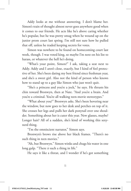Addy looks at me without answering. I don't blame her. Simon's train of thought almost never goes anywhere good when it comes to our friends. He acts like he's above caring whether he's popular, but he was pretty smug when he wound up on the junior prom court last spring. I'm still not sure how he pulled that off, unless he traded keeping secrets for votes.

Simon was nowhere to be found on homecoming court last week, though. I was voted king, so maybe I'm next on his list to harass, or whatever the hell he's doing.

"What's your point, Simon?" I ask, taking a seat next to Addy. Addy and I aren't close, exactly, but I kind of feel protective of her. She's been dating my best friend since freshman year, and she's a sweet girl. Also not the kind of person who knows how to stand up to a guy like Simon who just won't quit.

"She's a princess and you're a jock," he says. He thrusts his chin toward Bronwyn, then at Nate. "And you're a brain. And you're a criminal. You're all walking teen- movie stereotypes."

"What about you?" Bronwyn asks. She's been hovering near the window, but now goes to her desk and perches on top of it. She crosses her legs and pulls her dark ponytail over one shoulder. Something about her is cuter this year. New glasses, maybe? Longer hair? All of a sudden, she's kind of working this sexynerd thing.

"I'm the omniscient narrator," Simon says.

Bronwyn's brows rise above her black frames. "There's no such thing in teen movies."

"Ah, but Bronwyn." Simon winks and chugs his water in one long gulp. "There *is* such a thing in life."

He says it like a threat, and I wonder if he's got something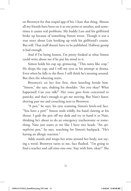on Bronwyn for that stupid app of his. I hate that thing. Almost all my friends have been on it at one point or another, and sometimes it causes real problems. My buddy Luis and his girlfriend broke up because of something Simon wrote. Though it *was* a true story about Luis hooking up with his girlfriend's cousin. But still. That stuff doesn't have to be published. Hallway gossip is bad enough.

And if I'm being honest, I'm pretty freaked at what Simon could write about me if he put his mind to it.

Simon holds his cup up, grimacing. "This tastes like crap." He drops the cup, and I roll my eyes at his attempt at drama. Even when he falls to the floor, I still think he's messing around. But then the wheezing starts.

Bronwyn's on her feet first, then kneeling beside him. " Simon," she says, shaking his shoulder. "Are you okay? What happened? Can you talk?" Her voice goes from concerned to panicky, and that's enough to get me moving. But Nate's faster, shoving past me and crouching next to Bronwyn.

"A pen," he says, his eyes scanning Simon's brick-red face. "You have a pen?" Simon nods wildly, his hand clawing at his throat. I grab the pen off my desk and try to hand it to Nate, thinking he's about to do an emergency tracheotomy or something. Nate just stares at me like I have two heads. "An *epinephrine* pen," he says, searching for Simon's backpack. "He's having an allergic reaction."

Addy stands and wraps her arms around her body, not saying a word. Bronwyn turns to me, face flushed. "I'm going to find a teacher and call nine-one-one. Stay with him, okay?" She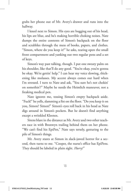grabs her phone out of Mr. Avery's drawer and runs into the hallway.

I kneel next to Simon. His eyes are bugging out of his head, his lips are blue, and he's making horrible choking noises. Nate dumps the entire contents of Simon's backpack on the floor and scrabbles through the mess of books, papers, and clothes. "Simon, where do you keep it?" he asks, tearing open the small front compartment and yanking out two regular pens and a set of keys.

Simon's way past talking, though. I put one sweaty palm on his shoulder, like that'll do any good. "You're okay, you're gonna be okay. We're gettin' help." I can hear my voice slowing, thickening like molasses. My accent always comes out hard when I'm stressed. I turn to Nate and ask, "You sure he's not chokin' on somethin'?" Maybe he needs the Heimlich maneuver, not a freaking medical pen.

Nate ignores me, tossing Simon's empty backpack aside. "Fuck!" he yells, slamming a fist on the floor. "Do you keep it on you, Simon? Simon!" Simon's eyes roll back in his head as Nate digs around in Simon's pockets. But he doesn't find anything except a wrinkled Kleenex.

Sirens blare in the distance as Mr. Avery and two other teachers race in with Bronwyn trailing behind them on her phone. "We can't find his EpiPen," Nate says tersely, gesturing to the pile of Simon's things.

Mr. Avery stares at Simon in slack-jawed horror for a second, then turns to me. "Cooper, the nurse's office has EpiPens. They should be labeled in plain sight. *Hurry!*"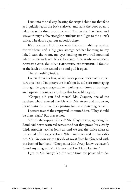I run into the hallway, hearing footsteps behind me that fade as I quickly reach the back stairwell and yank the door open. I take the stairs three at a time until I'm on the first floor, and weave through a few straggling students until I get to the nurse's office. The door's ajar, but nobody's there.

It's a cramped little space with the exam table up against the windows and a big gray storage cabinet looming to my left. I scan the room, my eyes landing on two wall-mounted white boxes with red block lettering. One reads EMERGENCY DEFIBRILLATOR, the other EMERGENCY EPINEPHRINE. I fumble at the latch on the second one and pull it open.

There's nothing inside.

I open the other box, which has a plastic device with a picture of a heart. I'm pretty sure that's not it, so I start rummaging through the gray storage cabinet, pulling out boxes of bandages and aspirin. I don't see anything that looks like a pen.

"Cooper, did you find them?" Ms. Grayson, one of the teachers who'd entered the lab with Mr. Avery and Bronwyn, barrels into the room. She's panting hard and clutching her side.

I gesture toward the empty wall- mounted box. "They should be there, right? But they're not."

"Check the supply cabinet," Ms. Grayson says, ignoring the Band- Aid boxes scattered across the floor that prove I've already tried. Another teacher joins us, and we tear the office apart as the sound of sirens gets closer. When we've opened the last cabinet, Ms. Grayson wipes a trickle of sweat from her forehead with the back of her hand. "Cooper, let Mr. Avery know we haven't found anything yet. Mr. Contos and I will keep looking."

I get to Mr. Avery's lab the same time the paramedics do.